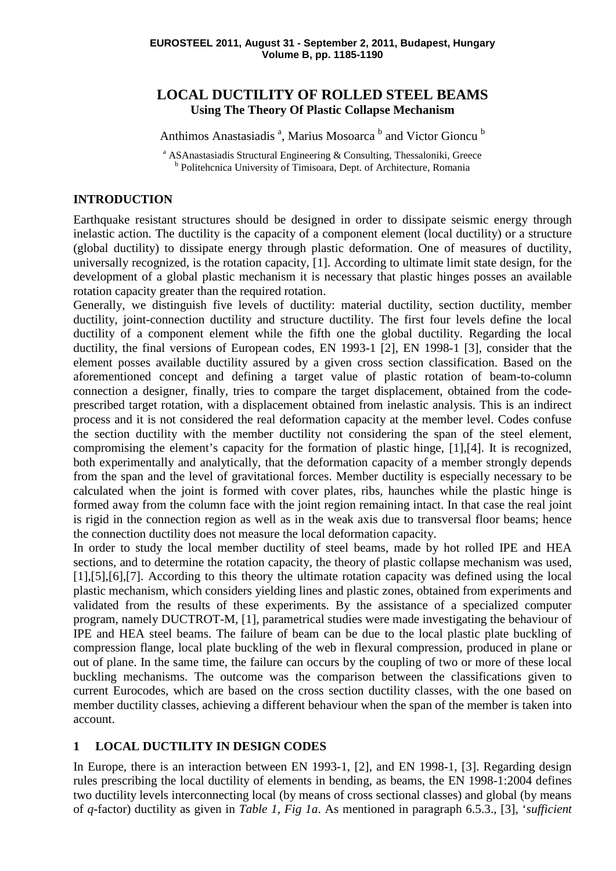# **LOCAL DUCTILITY OF ROLLED STEEL BEAMS Using The Theory Of Plastic Collapse Mechanism**

Anthimos Anastasiadis<sup>a</sup>, Marius Mosoarca<sup>b</sup> and Victor Gioncu<sup>b</sup>

<sup>a</sup> ASAnastasiadis Structural Engineering & Consulting, Thessaloniki, Greece <sup>b</sup> Politehcnica University of Timisoara, Dept. of Architecture, Romania

## **INTRODUCTION**

Earthquake resistant structures should be designed in order to dissipate seismic energy through inelastic action. The ductility is the capacity of a component element (local ductility) or a structure (global ductility) to dissipate energy through plastic deformation. One of measures of ductility, universally recognized, is the rotation capacity, [1]. According to ultimate limit state design, for the development of a global plastic mechanism it is necessary that plastic hinges posses an available rotation capacity greater than the required rotation.

Generally, we distinguish five levels of ductility: material ductility, section ductility, member ductility, joint-connection ductility and structure ductility. The first four levels define the local ductility of a component element while the fifth one the global ductility. Regarding the local ductility, the final versions of European codes, EN 1993-1 [2], EN 1998-1 [3], consider that the element posses available ductility assured by a given cross section classification. Based on the aforementioned concept and defining a target value of plastic rotation of beam-to-column connection a designer, finally, tries to compare the target displacement, obtained from the codeprescribed target rotation, with a displacement obtained from inelastic analysis. This is an indirect process and it is not considered the real deformation capacity at the member level. Codes confuse the section ductility with the member ductility not considering the span of the steel element, compromising the element's capacity for the formation of plastic hinge, [1],[4]. It is recognized, both experimentally and analytically, that the deformation capacity of a member strongly depends from the span and the level of gravitational forces. Member ductility is especially necessary to be calculated when the joint is formed with cover plates, ribs, haunches while the plastic hinge is formed away from the column face with the joint region remaining intact. In that case the real joint is rigid in the connection region as well as in the weak axis due to transversal floor beams; hence the connection ductility does not measure the local deformation capacity.

In order to study the local member ductility of steel beams, made by hot rolled IPE and HEA sections, and to determine the rotation capacity, the theory of plastic collapse mechanism was used, [1],[5],[6],[7]. According to this theory the ultimate rotation capacity was defined using the local plastic mechanism, which considers yielding lines and plastic zones, obtained from experiments and validated from the results of these experiments. By the assistance of a specialized computer program, namely DUCTROT-M, [1], parametrical studies were made investigating the behaviour of IPE and HEA steel beams. The failure of beam can be due to the local plastic plate buckling of compression flange, local plate buckling of the web in flexural compression, produced in plane or out of plane. In the same time, the failure can occurs by the coupling of two or more of these local buckling mechanisms. The outcome was the comparison between the classifications given to current Eurocodes, which are based on the cross section ductility classes, with the one based on member ductility classes, achieving a different behaviour when the span of the member is taken into account.

## **1 LOCAL DUCTILITY IN DESIGN CODES**

In Europe, there is an interaction between EN 1993-1, [2], and EN 1998-1, [3]. Regarding design rules prescribing the local ductility of elements in bending, as beams, the EN 1998-1:2004 defines two ductility levels interconnecting local (by means of cross sectional classes) and global (by means of *q*-factor) ductility as given in *Table 1*, *Fig 1a*. As mentioned in paragraph 6.5.3., [3], '*sufficient*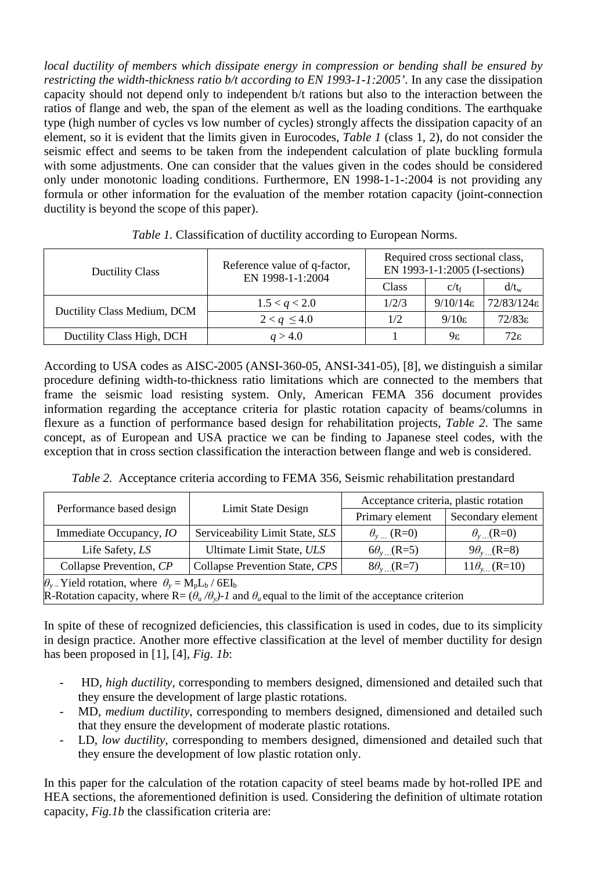*local ductility of members which dissipate energy in compression or bending shall be ensured by restricting the width-thickness ratio b/t according to EN 1993-1-1:2005'*. In any case the dissipation capacity should not depend only to independent b/t rations but also to the interaction between the ratios of flange and web, the span of the element as well as the loading conditions. The earthquake type (high number of cycles vs low number of cycles) strongly affects the dissipation capacity of an element, so it is evident that the limits given in Eurocodes, *Table 1* (class 1, 2), do not consider the seismic effect and seems to be taken from the independent calculation of plate buckling formula with some adjustments. One can consider that the values given in the codes should be considered only under monotonic loading conditions. Furthermore, EN 1998-1-1-:2004 is not providing any formula or other information for the evaluation of the member rotation capacity (joint-connection ductility is beyond the scope of this paper).

| <b>Ductility Class</b>      | Reference value of q-factor,<br>EN 1998-1-1:2004 | Required cross sectional class,<br>EN 1993-1-1:2005 (I-sections) |                      |                        |  |  |  |
|-----------------------------|--------------------------------------------------|------------------------------------------------------------------|----------------------|------------------------|--|--|--|
|                             |                                                  | Class                                                            | $c/t_f$              | $d/t_{w}$              |  |  |  |
| Ductility Class Medium, DCM | 1.5 < q < 2.0                                    | 1/2/3                                                            | $9/10/14\varepsilon$ | $72/83/124\varepsilon$ |  |  |  |
|                             | $2 < q \leq 4.0$                                 | 1/2                                                              | $9/10\varepsilon$    | $72/83\varepsilon$     |  |  |  |
| Ductility Class High, DCH   | a > 4.0                                          |                                                                  | 9ε                   | $72\varepsilon$        |  |  |  |

*Table 1.* Classification of ductility according to European Norms.

According to USA codes as AISC-2005 (ANSI-360-05, ANSI-341-05), [8], we distinguish a similar procedure defining width-to-thickness ratio limitations which are connected to the members that frame the seismic load resisting system. Only, American FEMA 356 document provides information regarding the acceptance criteria for plastic rotation capacity of beams/columns in flexure as a function of performance based design for rehabilitation projects, *Table 2*. The same concept, as of European and USA practice we can be finding to Japanese steel codes, with the exception that in cross section classification the interaction between flange and web is considered.

| Table 2. Acceptance criteria according to FEMA 356, Seismic rehabilitation prestandard |  |  |
|----------------------------------------------------------------------------------------|--|--|
|                                                                                        |  |  |

| Performance based design                                                        | Limit State Design                                                                                                   | Acceptance criteria, plastic rotation |                             |  |  |  |  |  |  |  |
|---------------------------------------------------------------------------------|----------------------------------------------------------------------------------------------------------------------|---------------------------------------|-----------------------------|--|--|--|--|--|--|--|
|                                                                                 |                                                                                                                      | Primary element                       | Secondary element           |  |  |  |  |  |  |  |
| Immediate Occupancy, IO                                                         | Serviceability Limit State, SLS                                                                                      | $\theta_{v}$ (R=0)                    | $\theta$ <sub>y</sub> (R=0) |  |  |  |  |  |  |  |
| Life Safety, LS                                                                 | Ultimate Limit State, ULS                                                                                            | $6\theta_{v}$ (R=5)                   | $9\theta_{v}$ (R=8)         |  |  |  |  |  |  |  |
| Collapse Prevention, CP                                                         | Collapse Prevention State, CPS                                                                                       | $8\theta_{v}$ (R=7)                   | $11\theta_{v}$ (R=10)       |  |  |  |  |  |  |  |
| $\theta_{y}$ Yield rotation, where $\theta_{y} = M_{p}L_{b}$ / 6EI <sub>b</sub> |                                                                                                                      |                                       |                             |  |  |  |  |  |  |  |
|                                                                                 | R-Rotation capacity, where R= $(\theta_u/\theta_y)$ -1 and $\theta_u$ equal to the limit of the acceptance criterion |                                       |                             |  |  |  |  |  |  |  |

In spite of these of recognized deficiencies, this classification is used in codes, due to its simplicity in design practice. Another more effective classification at the level of member ductility for design has been proposed in [1], [4], *Fig. 1b*:

- HD, *high ductility*, corresponding to members designed, dimensioned and detailed such that they ensure the development of large plastic rotations.
- MD, *medium ductility*, corresponding to members designed, dimensioned and detailed such that they ensure the development of moderate plastic rotations.
- LD, *low ductility*, corresponding to members designed, dimensioned and detailed such that they ensure the development of low plastic rotation only.

In this paper for the calculation of the rotation capacity of steel beams made by hot-rolled IPE and HEA sections, the aforementioned definition is used. Considering the definition of ultimate rotation capacity, *Fig.1b* the classification criteria are: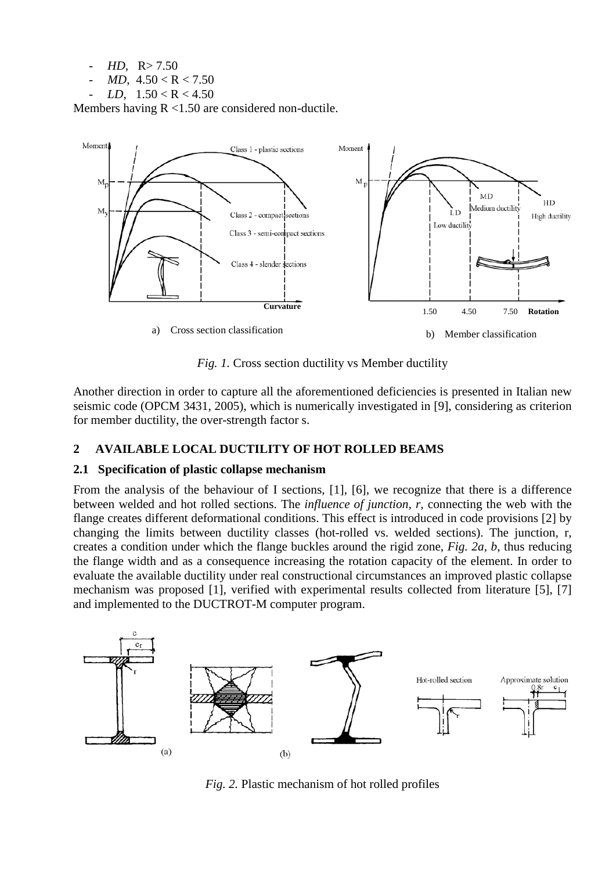$HD, R > 7.50$ 

- $MD$ ,  $4.50 < R < 7.50$
- *LD*,  $1.50 < R < 4.50$

Members having R <1.50 are considered non-ductile.



*Fig. 1.* Cross section ductility vs Member ductility

Another direction in order to capture all the aforementioned deficiencies is presented in Italian new seismic code (OPCM 3431, 2005), which is numerically investigated in [9], considering as criterion for member ductility, the over-strength factor s.

## **2 AVAILABLE LOCAL DUCTILITY OF HOT ROLLED BEAMS**

## **2.1 Specification of plastic collapse mechanism**

From the analysis of the behaviour of I sections, [1], [6], we recognize that there is a difference between welded and hot rolled sections. The *influence of junction, r,* connecting the web with the flange creates different deformational conditions. This effect is introduced in code provisions [2] by changing the limits between ductility classes (hot-rolled vs. welded sections). The junction, r, creates a condition under which the flange buckles around the rigid zone, *Fig. 2a, b*, thus reducing the flange width and as a consequence increasing the rotation capacity of the element. In order to evaluate the available ductility under real constructional circumstances an improved plastic collapse mechanism was proposed [1], verified with experimental results collected from literature [5], [7] and implemented to the DUCTROT-M computer program.



*Fig. 2.* Plastic mechanism of hot rolled profiles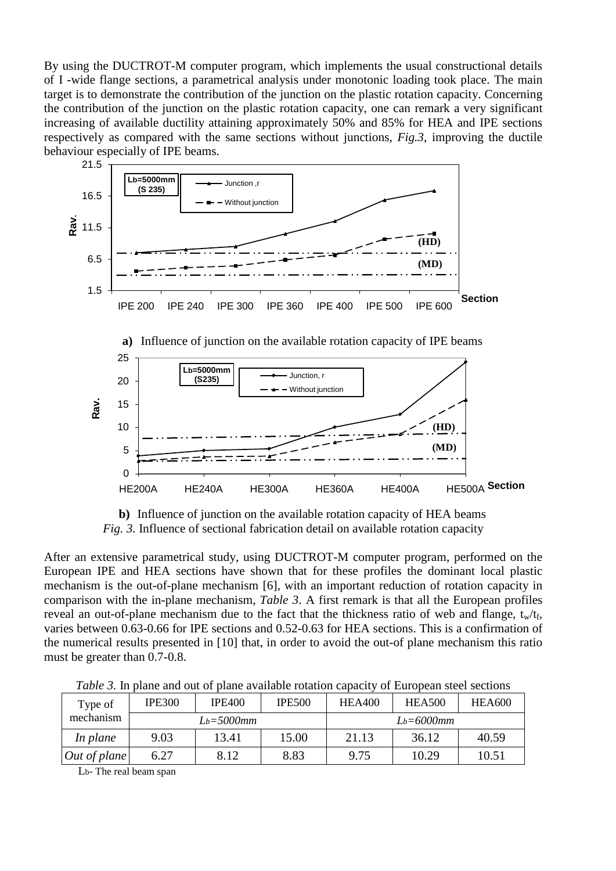By using the DUCTROT-M computer program, which implements the usual constructional details of I -wide flange sections, a parametrical analysis under monotonic loading took place. The main target is to demonstrate the contribution of the junction on the plastic rotation capacity. Concerning the contribution of the junction on the plastic rotation capacity, one can remark a very significant increasing of available ductility attaining approximately 50% and 85% for HEA and IPE sections respectively as compared with the same sections without junctions, *Fig.3*, improving the ductile behaviour especially of IPE beams.



**b)** Influence of junction on the available rotation capacity of HEA beams *Fig. 3.* Influence of sectional fabrication detail on available rotation capacity

After an extensive parametrical study, using DUCTROT-M computer program, performed on the European IPE and HEA sections have shown that for these profiles the dominant local plastic mechanism is the out-of-plane mechanism [6], with an important reduction of rotation capacity in comparison with the in-plane mechanism, *Table 3*. A first remark is that all the European profiles reveal an out-of-plane mechanism due to the fact that the thickness ratio of web and flange,  $t_w/t_f$ , varies between 0.63-0.66 for IPE sections and 0.52-0.63 for HEA sections. This is a confirmation of the numerical results presented in [10] that, in order to avoid the out-of plane mechanism this ratio must be greater than 0.7-0.8.

|                      | Tubic 9. In plane and out of plane available founded eapacity of European steel secuolis |                 |               |                                                 |       |       |  |  |  |  |  |  |  |
|----------------------|------------------------------------------------------------------------------------------|-----------------|---------------|-------------------------------------------------|-------|-------|--|--|--|--|--|--|--|
| Type of<br>mechanism | <b>IPE300</b>                                                                            | <b>IPE400</b>   | <b>IPE500</b> | <b>HEA600</b><br><b>HEA400</b><br><b>HEA500</b> |       |       |  |  |  |  |  |  |  |
|                      |                                                                                          | $L_b = 5000$ mm |               | $L_b = 6000$ mm                                 |       |       |  |  |  |  |  |  |  |
| In plane             | 9.03                                                                                     | 13.41           | 15.00         | 21.13                                           | 36.12 | 40.59 |  |  |  |  |  |  |  |
| Out of plane         | 6.27                                                                                     | 8.12            | 8.83          | 9.75                                            | 10.29 | 10.51 |  |  |  |  |  |  |  |

*Table 3.* In plane and out of plane available rotation capacity of European steel sections

Lb- The real beam span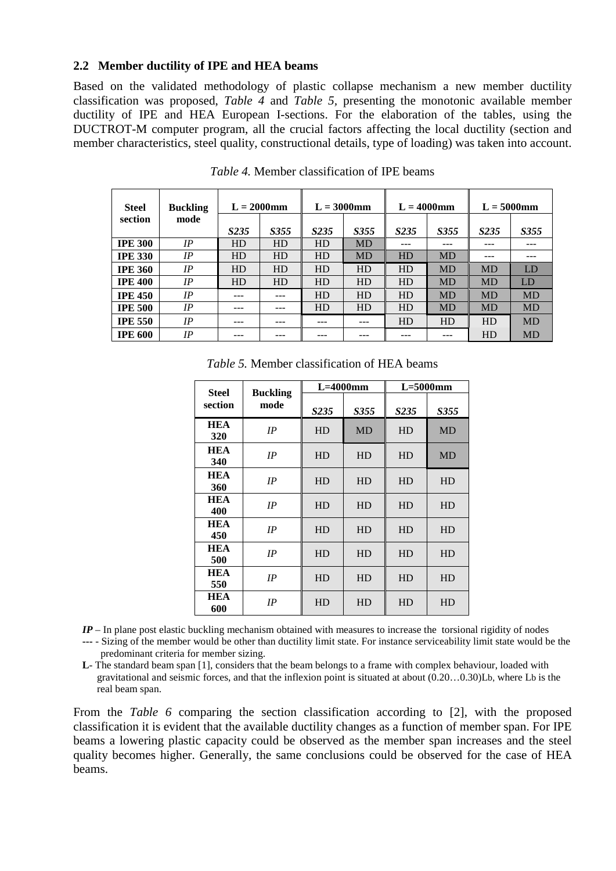#### **2.2 Member ductility of IPE and HEA beams**

Based on the validated methodology of plastic collapse mechanism a new member ductility classification was proposed, *Table 4* and *Table 5,* presenting the monotonic available member ductility of IPE and HEA European I-sections. For the elaboration of the tables, using the DUCTROT-M computer program, all the crucial factors affecting the local ductility (section and member characteristics, steel quality, constructional details, type of loading) was taken into account.

| <b>Steel</b>   | <b>Buckling</b> | $L = 2000$ mm    |      |                   | $L = 3000$ mm |                  | $L = 4000$ mm | $L = 5000$ mm    |           |  |
|----------------|-----------------|------------------|------|-------------------|---------------|------------------|---------------|------------------|-----------|--|
| section        | mode            | S <sub>235</sub> | S355 | S <sub>2</sub> 35 | S355          | S <sub>235</sub> | S355          | S <sub>235</sub> | S355      |  |
| <b>IPE 300</b> | IP              | <b>HD</b>        | HD   | HD                | <b>MD</b>     | ---              |               | ---              | ---       |  |
| <b>IPE 330</b> | IP              | HD               | HD   | HD                | <b>MD</b>     | HD               | <b>MD</b>     | ---              | ---       |  |
| <b>IPE 360</b> | IP              | HD               | HD   | HD                | HD            | HD               | <b>MD</b>     | <b>MD</b>        | LD        |  |
| <b>IPE 400</b> | IP              | HD               | HD   | HD                | HD            | HD               | <b>MD</b>     | <b>MD</b>        | LD        |  |
| <b>IPE 450</b> | IP              | ---              |      | HD                | HD            | HD               | MD            | <b>MD</b>        | <b>MD</b> |  |
| <b>IPE 500</b> | IP              | ---              | ---  | HD                | HD            | HD               | MD            | <b>MD</b>        | <b>MD</b> |  |
| <b>IPE 550</b> | IP              | ---              |      |                   |               | HD               | HD            | HD               | <b>MD</b> |  |
| <b>IPE 600</b> | IP              |                  |      |                   |               |                  |               | HD               | <b>MD</b> |  |

*Table 4.* Member classification of IPE beams

| <b>Steel</b>      | <b>Buckling</b> |                  | $L=4000$ mm | $L = 5000$ mm |           |  |  |
|-------------------|-----------------|------------------|-------------|---------------|-----------|--|--|
| section           | mode            | S <sub>235</sub> | S355        | S235          | S355      |  |  |
| <b>HEA</b><br>320 | IP              | HD               | <b>MD</b>   | HD            | <b>MD</b> |  |  |
| <b>HEA</b><br>340 | IP              | HD               | HD          | HD            | <b>MD</b> |  |  |
| <b>HEA</b><br>360 | IP              | HD               | HD          | HD            | HD        |  |  |
| <b>HEA</b><br>400 | IP              | HD<br>HD         |             | HD            | <b>HD</b> |  |  |
| <b>HEA</b><br>450 | IP              | HD               | HD          | HD            | <b>HD</b> |  |  |
| <b>HEA</b><br>500 | IP              | HD               | HD          | HD            | HD        |  |  |
| <b>HEA</b><br>550 | IP              | HD               | HD          | HD            | <b>HD</b> |  |  |
| <b>HEA</b><br>600 | IP              | HD               | HD          | HD            | HD        |  |  |

*Table 5.* Member classification of HEA beams

*IP* – In plane post elastic buckling mechanism obtained with measures to increase the torsional rigidity of nodes

**---** - Sizing of the member would be other than ductility limit state. For instance serviceability limit state would be the predominant criteria for member sizing.

**L**- The standard beam span [1], considers that the beam belongs to a frame with complex behaviour, loaded with gravitational and seismic forces, and that the inflexion point is situated at about (0.20…0.30)Lb, where Lb is the real beam span.

From the *Table 6* comparing the section classification according to [2], with the proposed classification it is evident that the available ductility changes as a function of member span. For IPE beams a lowering plastic capacity could be observed as the member span increases and the steel quality becomes higher. Generally, the same conclusions could be observed for the case of HEA beams.